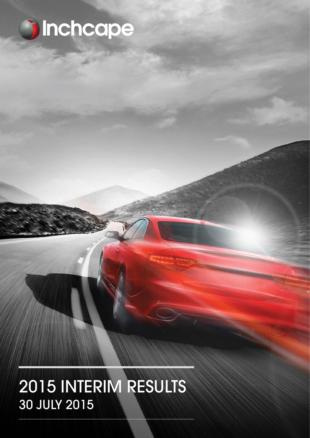

# 2015 INTERIM RESULTS 30 JULY 2015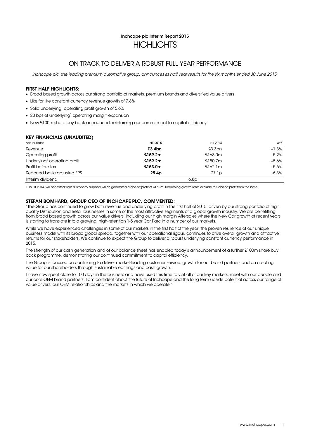## Inchcape plc Interim Report 2015 **HIGHLIGHTS**

## ON TRACK TO DELIVER A ROBUST FULL YEAR PERFORMANCE

Inchcape plc, the leading premium automotive group, announces its half year results for the six months ended 30 June 2015.

### FIRST HALF HIGHLIGHTS:

- Broad based growth across our strong portfolio of markets, premium brands and diversified value drivers
- Like for like constant currency revenue growth of 7.8%
- Solid underlying<sup>1</sup> operating profit growth of 5.6%
- $\bullet$  20 bps of underlying<sup>1</sup> operating margin expansion
- New £100m share buy back announced, reinforcing our commitment to capital efficiency

### KEY FINANCIALS (UNAUDITED)

| <b>Actual Rates</b>                      | H1 2015 | H1 2014 | YoY     |
|------------------------------------------|---------|---------|---------|
| Revenue                                  | £3.4bn  | £3.3bn  | $+1.3%$ |
| Operating profit                         | £159.2m | £168.0m | $-5.2%$ |
| Underlying <sup>1</sup> operating profit | £159.2m | £150.7m | $+5.6%$ |
| Profit before tax                        | £153.0m | £162.1m | $-5.6%$ |
| Reported basic adjusted EPS              | 25.4p   | 27.1p   | $-6.3%$ |
| Interim dividend                         |         | 6.8p    |         |

1. In H1 2014, we benefited from a property disposal which generated a one-off profit of £17.3m. Underlying growth rates exclude this one-off profit from the base.

### STEFAN BOMHARD, GROUP CEO OF INCHCAPE PLC, COMMENTED:

"The Group has continued to grow both revenue and underlying profit in the first half of 2015, driven by our strong portfolio of high quality Distribution and Retail businesses in some of the most attractive segments of a global growth industry. We are benefitting from broad based growth across our value drivers, including our high margin Aftersales where the New Car growth of recent years is starting to translate into a growing, high-retention 1-5 year Car Parc in a number of our markets.

While we have experienced challenges in some of our markets in the first half of the year, the proven resilience of our unique business model with its broad global spread, together with our operational rigour, continues to drive overall growth and attractive returns for our stakeholders. We continue to expect the Group to deliver a robust underlying constant currency performance in 2015.

The strength of our cash generation and of our balance sheet has enabled today's announcement of a further £100m share buy back programme, demonstrating our continued commitment to capital efficiency.

The Group is focused on continuing to deliver market-leading customer service, growth for our brand partners and on creating value for our shareholders through sustainable earnings and cash growth.

I have now spent close to 100 days in the business and have used this time to visit all of our key markets, meet with our people and our core OEM brand partners. I am confident about the future of Inchcape and the long term upside potential across our range of value drivers, our OEM relationships and the markets in which we operate.'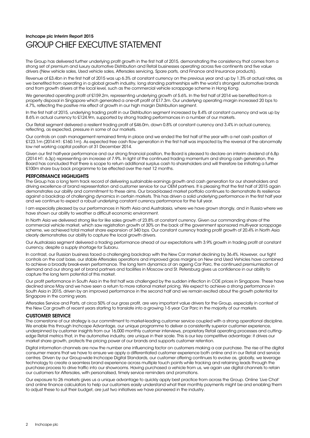## Inchcape plc Interim Report 2015 GROUP CHIEF EXECUTIVE STATEMENT

The Group has delivered further underlying profit growth in the first half of 2015, demonstrating the consistency that comes from a strong set of premium and luxury automotive Distribution and Retail businesses operating across five continents and five value drivers (New vehicle sales, Used vehicle sales, Aftersales servicing, Spare parts, and Finance and Insurance products).

Revenue of £3.4bn in the first half of 2015 was up 6.3% at constant currency on the previous year and up by 1.3% at actual rates, as we benefited from operating in a global growth industry, long standing partnerships with the world's strongest automotive brands and from growth drivers at the local level, such as the commercial vehicle scrappage scheme in Hong Kong.

We generated operating profit of £159.2m, representing underlying growth of 5.6%. In the first half of 2014 we benefited from a property disposal in Singapore which generated a one-off profit of £17.3m. Our underlying operating margin increased 20 bps to 4.7%, reflecting the positive mix effect of growth in our high margin Distribution segment.

In the first half of 2015, underlying trading profit in our Distribution segment increased by 8.4% at constant currency and was up by 8.6% in actual currency to £124.9m, supported by strong trading performances in a number of our markets.

Our Retail segment delivered a resilient trading profit of £46.0m, down 0.8% at constant currency and 3.4% in actual currency, reflecting, as expected, pressure in some of our markets.

Our controls on cash management remained firmly in place and we ended the first half of the year with a net cash position of £123.1m (2014 H1: £160.1m). As expected free cash flow generation in the first half was impacted by the reversal of the abnormally low net working capital position at 31 December 2014.

Given our first half-year performance and our strong financial position, the Board is pleased to declare an interim dividend of 6.8p (2014 H1: 6.3p) representing an increase of 7.9%. In light of the continued trading momentum and strong cash generation, the Board has concluded that there is scope to return additional surplus cash to shareholders and will therefore be initiating a further £100m share buy back programme to be effected over the next 12 months.

### PERFORMANCE HIGHLIGHTS

The Group has a long term track record of delivering sustainable earnings growth and cash generation for our shareholders and driving excellence of brand representation and customer service for our OEM partners. It is pleasing that the first half of 2015 again demonstrates our ability and commitment to these aims. Our broad-based market portfolio continues to demonstrate its resilience against a backdrop of challenging dynamics in certain markets. This has driven a solid underlying performance in the first half year and we continue to expect a robust underlying constant currency performance for the full year.

I am especially pleased by our performances in North Asia and Australasia, where we have grown strongly, and in Russia where we have shown our ability to weather a difficult economic environment.

In North Asia we delivered strong like for like sales growth of 23.8% at constant currency. Given our commanding share of the commercial vehicle market, which saw registration growth of 30% on the back of the government sponsored multi-year scrappage scheme, we achieved total market share expansion of 340 bps. Our constant currency trading profit growth of 20.4% in North Asia clearly demonstrates our ability to capture the local growth drivers.

Our Australasia segment delivered a trading performance ahead of our expectations with 3.9% growth in trading profit at constant currency, despite a supply shortage for Subaru.

In contrast, our Russian business faced a challenging backdrop with the New Car market declining by 36.4%. However, our tight controls on the cost base, our stable Aftersales operations and improved gross margins on New and Used Vehicles have combined to achieve a broadly break-even performance. The long term dynamics of an ageing Car Parc, the continued premiumisation of demand and our strong set of brand partners and facilities in Moscow and St. Petersburg gives us confidence in our ability to capture the long term potential of this market.

Our profit performance in South Asia in the first half was challenged by the sudden inflection in COE prices in Singapore. These have declined since May and we have seen a return to more rational market pricing. We expect to achieve a strong performance in South Asia in 2015, driven by an improved performance in the second half and we remain excited about the growth potential for Singapore in the coming years.

Aftersales Service and Parts, at circa 50% of our gross profit, are very important value drivers for the Group, especially in context of the New Car growth of recent years starting to translate into a growing 1-5 year Car Parc in the majority of our markets.

### CUSTOMER SERVICE

The cornerstone of our strategy is our commitment to market-leading customer service coupled with a strong operational discipline. We enable this through Inchcape Advantage, our unique programme to deliver a consistently superior customer experience, underpinned by customer insights from our 16,000 monthly customer interviews, proprietary Retail operating processes and cuttingedge Retail metrics that, in the automotive industry, are unique in their scale. This is our key competitive advantage: it drives our market share growth, protects the pricing power of our brands and supports customer retention.

Digital information channels are now the number one influencing factor on customers making a car purchase. The rise of the digital consumer means that we have to ensure we apply a differentiated customer experience both online and in our Retail and service centres. Driven by our Group-wide Inchcape Digital Standards, our customer offering continues to evolve as, globally, we leverage technology to create a seamless brand experience across multiple touch points while tracking and retaining leads through the purchase process to drive traffic into our showrooms. Having purchased a vehicle from us, we again use digital channels to retain our customers for Aftersales, with personalised, timely service reminders and promotions.

Our exposure to 26 markets gives us a unique advantage to quickly apply best practice from across the Group. Online 'Live Chat' and online finance calculators to help our customers easily understand what their monthly payments might be and enabling them to adjust these to suit their budget, are just two initiatives we have pioneered in the industry.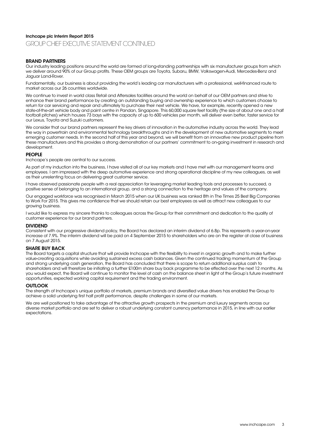### Inchcape plc Interim Report 2015

GROUP CHIEF EXECUTIVE STATEMENT CONTINUED

### BRAND PARTNERS

Our industry leading positions around the world are formed of long-standing partnerships with six manufacturer groups from which we deliver around 90% of our Group profits. These OEM groups are Toyota, Subaru, BMW, Volkswagen-Audi, Mercedes-Benz and Jaguar Land-Rover.

Fundamentally, our business is about providing the world's leading car manufacturers with a professional, well-financed route to market across our 26 countries worldwide.

We continue to invest in world class Retail and Aftersales facilities around the world on behalf of our OEM partners and strive to enhance their brand performance by creating an outstanding buying and ownership experience to which customers choose to return for car servicing and repair and ultimately to purchase their next vehicle. We have, for example, recently opened a new state-of-the-art vehicle body and paint centre in Pandan, Singapore. This 60,000 square feet facility (the size of about one and a half football pitches) which houses 73 bays with the capacity of up to 600 vehicles per month, will deliver even better, faster service for our Lexus, Toyota and Suzuki customers.

We consider that our brand partners represent the key drivers of innovation in the automotive industry across the world. They lead the way in powertrain and environmental technology breakthroughs and in the development of new automotive segments to meet emerging customer needs. In the second half of this year and beyond, we will benefit from an innovative new product pipeline from these manufacturers and this provides a strong demonstration of our partners' commitment to on-going investment in research and development.

### PEOPLE

Inchcape's people are central to our success.

As part of my induction into the business, I have visited all of our key markets and I have met with our management teams and employees. I am impressed with the deep automotive experience and strong operational discipline of my new colleagues, as well as their unrelenting focus on delivering great customer service.

I have observed passionate people with a real appreciation for leveraging market leading tools and processes to succeed, a positive sense of belonging to an international group, and a strong connection to the heritage and values of the company.

Our engaged workforce was recognised in March 2015 when our UK business was ranked 8th in The Times 25 Best Big Companies to Work For 2015. This gives me confidence that we should retain our best employees as well as attract new colleagues to our growing business.

I would like to express my sincere thanks to colleagues across the Group for their commitment and dedication to the quality of customer experience for our brand partners.

### DIVIDEND

Consistent with our progressive dividend policy, the Board has declared an interim dividend of 6.8p. This represents a year-on-year increase of 7.9%. The interim dividend will be paid on 4 September 2015 to shareholders who are on the register at close of business on 7 August 2015.

### SHARE BUY BACK

The Board targets a capital structure that will provide Inchcape with the flexibility to invest in organic growth and to make further value-creating acquisitions while avoiding sustained excess cash balances. Given the continued trading momentum of the Group and strong underlying cash generation, the Board has concluded that there is scope to return additional surplus cash to shareholders and will therefore be initiating a further £100m share buy back programme to be effected over the next 12 months. As you would expect, the Board will continue to monitor the level of cash on the balance sheet in light of the Group's future investment opportunities, expected working capital requirement and the trading environment.

### **OUTLOOK**

The strength of Inchcape's unique portfolio of markets, premium brands and diversified value drivers has enabled the Group to achieve a solid underlying first half profit performance, despite challenges in some of our markets.

We are well positioned to take advantage of the attractive growth prospects in the premium and luxury segments across our diverse market portfolio and are set to deliver a robust underlying constant currency performance in 2015, in line with our earlier expectations.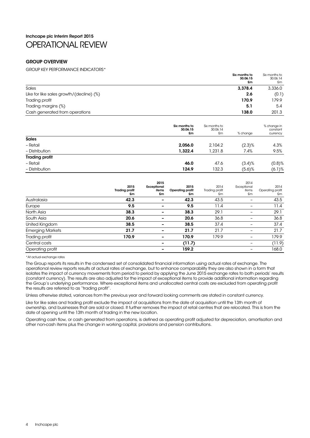## Inchcape plc Interim Report 2015 OPERATIONAL REVIEW

### GROUP OVERVIEW

GROUP KEY PERFORMANCE INDICATORS\*

| Six months to<br>30.06.15<br>£m                 | Six months to<br>30.06.14<br>£m |
|-------------------------------------------------|---------------------------------|
| Sales<br>3,378.4                                | 3,336.0                         |
| Like for like sales growth/(decline) (%)<br>2.6 | (0.1)                           |
| 170.9<br>Trading profit                         | 179.9                           |
| Trading margins (%)<br>5.1                      | 5.4                             |
| Cash generated from operations<br>138.0         | 201.3                           |

|                       | Six months to<br>30.06.15<br>£m | Six months to<br>30.06.14<br>£m | % change  | % change in<br>constant<br>currency |
|-----------------------|---------------------------------|---------------------------------|-----------|-------------------------------------|
| <b>Sales</b>          |                                 |                                 |           |                                     |
| - Retail              | 2,056.0                         | 2,104.2                         | (2.3)%    | 4.3%                                |
| - Distribution        | 1,322.4                         | ,231.8                          | 7.4%      | 9.5%                                |
| <b>Trading profit</b> |                                 |                                 |           |                                     |
| - Retail              | 46.0                            | 47.6                            | $(3.4)$ % | $(0.8)$ %                           |
| - Distribution        | 124.9                           | 132.3                           | $(5.6)$ % | (6.1)%                              |

|                         | 2015<br><b>Trading profit</b><br>£m | 2015<br>Exceptional<br>items<br>£m | 2015<br>Operating profit<br>£m | 2014<br>Trading profit<br>£m | 2014<br>Exceptional<br>items<br>£m | 2014<br>Operating profit<br>£m |
|-------------------------|-------------------------------------|------------------------------------|--------------------------------|------------------------------|------------------------------------|--------------------------------|
| Australasia             | 42.3                                |                                    | 42.3                           | 43.5                         | -                                  | 43.5                           |
| Europe                  | 9.5                                 |                                    | 9.5                            | 11.4                         | -                                  | 11.4                           |
| North Asia              | 38.3                                |                                    | 38.3                           | 29.1                         |                                    | 29.1                           |
| South Asia              | 20.6                                |                                    | 20.6                           | 36.8                         |                                    | 36.8                           |
| United Kingdom          | 38.5                                |                                    | 38.5                           | 37.4                         |                                    | 37.4                           |
| <b>Emerging Markets</b> | 21.7                                |                                    | 21.7                           | 21.7                         |                                    | 21.7                           |
| Trading profit          | 170.9                               |                                    | 170.9                          | 179.9                        | -                                  | 179.9                          |
| Central costs           |                                     |                                    | (11.7)                         |                              | -                                  | (11.9)                         |
| Operating profit        |                                     |                                    | 159.2                          |                              |                                    | 168.0                          |

\*At actual exchange rates

The Group reports its results in the condensed set of consolidated financial information using actual rates of exchange. The operational review reports results at actual rates of exchange, but to enhance comparability they are also shown in a form that isolates the impact of currency movements from period to period by applying the June 2015 exchange rates to both periods' results (constant currency). The results are also adjusted for the impact of exceptional items to provide additional information regarding the Group's underlying performance. Where exceptional items and unallocated central costs are excluded from operating profit the results are referred to as "trading profit".

Unless otherwise stated, variances from the previous year and forward looking comments are stated in constant currency.

Like for like sales and trading profit exclude the impact of acquisitions from the date of acquisition until the 13th month of ownership, and businesses that are sold or closed. It further removes the impact of retail centres that are relocated. This is from the date of opening until the 13th month of trading in the new location.

Operating cash flow, or cash generated from operations, is defined as operating profit adjusted for depreciation, amortisation and other non-cash items plus the change in working capital, provisions and pension contributions.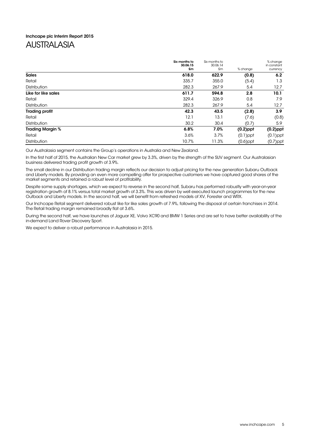## Inchcape plc Interim Report 2015

## AUSTRALASIA

|                         | Six months to<br>30.06.15 | Six months to<br>30.06.14 |             | % change<br>in constant |
|-------------------------|---------------------------|---------------------------|-------------|-------------------------|
|                         | £m                        | £m                        | % change    | currency                |
| <b>Sales</b>            | 618.0                     | 622.9                     | (0.8)       | 6.2                     |
| Retail                  | 335.7                     | 355.0                     | (5.4)       | 1.3                     |
| <b>Distribution</b>     | 282.3                     | 267.9                     | 5.4         | 12.7                    |
| Like for like sales     | 611.7                     | 594.8                     | 2.8         | 10.1                    |
| Retail                  | 329.4                     | 326.9                     | 0.8         | 7.9                     |
| <b>Distribution</b>     | 282.3                     | 267.9                     | 5.4         | 12.7                    |
| <b>Trading profit</b>   | 42.3                      | 43.5                      | (2.8)       | 3.9                     |
| Retail                  | 12.1                      | 13.1                      | (7.6)       | (0.8)                   |
| <b>Distribution</b>     | 30.2                      | 30.4                      | (0.7)       | 5.9                     |
| <b>Trading Margin %</b> | 6.8%                      | 7.0%                      | $(0.2)$ ppt | $(0.2)$ ppt             |
| Retail                  | 3.6%                      | 3.7%                      | $(0.1)$ ppt | $(0.1)$ ppt             |
| <b>Distribution</b>     | 10.7%                     | 11.3%                     | $(0.6)$ ppt | $(0.7)$ ppt             |

Our Australasia segment contains the Group's operations in Australia and New Zealand.

In the first half of 2015, the Australian New Car market grew by 3.3%, driven by the strength of the SUV segment. Our Australasian business delivered trading profit growth of 3.9%.

The small decline in our Distribution trading margin reflects our decision to adjust pricing for the new generation Subaru Outback and Liberty models. By providing an even more compelling offer for prospective customers we have captured good shares of the market segments and retained a robust level of profitability.

Despite some supply shortages, which we expect to reverse in the second half, Subaru has performed robustly with year-on-year registration growth of 8.1% versus total market growth of 3.3%. This was driven by well executed launch programmes for the new Outback and Liberty models. In the second half, we will benefit from refreshed models of XV, Forester and WRX.

Our Inchcape Retail segment delivered robust like for like sales growth of 7.9%, following the disposal of certain franchises in 2014. The Retail trading margin remained broadly flat at 3.6%.

During the second half, we have launches of Jaguar XE, Volvo XC90 and BMW 1 Series and are set to have better availability of the in-demand Land Rover Discovery Sport.

We expect to deliver a robust performance in Australasia in 2015.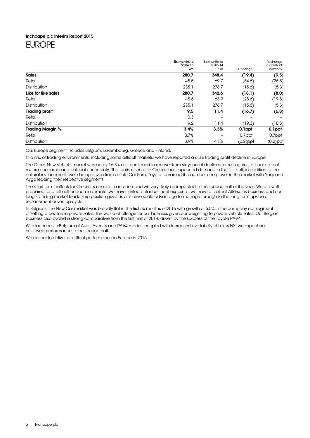### Inchcape plc Interim Report 2015

## EUROPE

|                         | Six months to<br>30.06.15 | Six months to<br>30.06.14 |             | % change<br>in constant |
|-------------------------|---------------------------|---------------------------|-------------|-------------------------|
|                         | £m                        | £m                        | % change    | currency                |
| <b>Sales</b>            | 280.7                     | 348.4                     | (19.4)      | (9.5)                   |
| Retail                  | 45.6                      | 69.7                      | (34.6)      | (26.5)                  |
| Distribution            | 235.1                     | 278.7                     | (15.6)      | (5.3)                   |
| Like for like sales     | 280.7                     | 342.6                     | (18.1)      | (8.0)                   |
| Retail                  | 45.6                      | 63.9                      | (28.6)      | (19.8)                  |
| <b>Distribution</b>     | 235.1                     | 278.7                     | (15.6)      | (5.3)                   |
| <b>Trading profit</b>   | 9.5                       | 11.4                      | (16.7)      | (6.8)                   |
| Retail                  | 0.3                       |                           |             |                         |
| Distribution            | 9.2                       | 11.4                      | (19.3)      | (10.3)                  |
| <b>Trading Margin %</b> | 3.4%                      | 3.3%                      | 0.1ppt      | 0.1ppt                  |
| Retail                  | 0.7%                      | $\overline{\phantom{0}}$  | 0.7ppt      | 0.7ppt                  |
| <b>Distribution</b>     | 3.9%                      | 4.1%                      | $(0.2)$ ppt | $(0.2)$ ppt             |

Our Europe segment includes Belgium, Luxembourg, Greece and Finland.

In a mix of trading environments, including some difficult markets, we have reported a 6.8% trading profit decline in Europe.

The Greek New Vehicle market was up by 16.8% as it continued to recover from six years of declines, albeit against a backdrop of macro-economic and political uncertainty. The tourism sector in Greece has supported demand in the first half, in addition to the natural replacement cycle being driven from an old Car Parc. Toyota remained the number one player in the market with Yaris and Aygo leading their respective segments.

The short term outlook for Greece is uncertain and demand will very likely be impacted in the second half of the year. We are well prepared for a difficult economic climate; we have limited balance sheet exposure; we have a resilient Aftersales business and our long standing market leadership position gives us a relative scale advantage to manage through to the long term upside of replacement driven up-cycle.

In Belgium, the New Car market was broadly flat in the first six months of 2015 with growth of 5.5% in the company car segment offsetting a decline in private sales. This was a challenge for our business given our weighting to private vehicle sales. Our Belgian business also cycled a strong comparative from the first half of 2014, driven by the success of the Toyota RAV4.

With launches in Belgium of Auris, Avensis and RAV4 models coupled with increased availability of Lexus NX, we expect an improved performance in the second half.

We expect to deliver a resilient performance in Europe in 2015.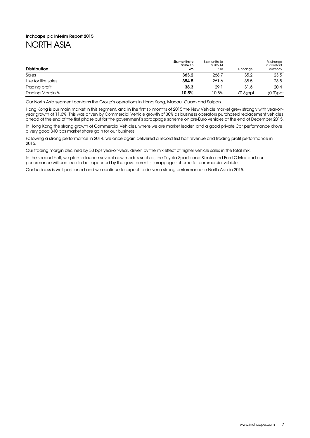## Inchcape plc Interim Report 2015 NORTH ASIA

| <b>Distribution</b> | Six months to<br>30.06.15<br>£m | Six months to<br>30.06.14<br>£m | % change    | % change<br>in constant<br>currency |
|---------------------|---------------------------------|---------------------------------|-------------|-------------------------------------|
| Sales               | 363.2                           | 268.7                           | 35.2        | 23.5                                |
| Like for like sales | 354.5                           | 261.6                           | 35.5        | 23.8                                |
| Trading profit      | 38.3                            | 29.1                            | 31.6        | 20.4                                |
| Trading Margin %    | 10.5%                           | 10.8%                           | $(0.3)$ ppt | $(0.3)$ ppt                         |

Our North Asia segment contains the Group's operations in Hong Kong, Macau, Guam and Saipan.

Hong Kong is our main market in this segment, and in the first six months of 2015 the New Vehicle market grew strongly with year-onyear growth of 11.6%. This was driven by Commercial Vehicle growth of 30% as business operators purchased replacement vehicles ahead of the end of the first phase out for the government's scrappage scheme on pre-Euro vehicles at the end of December 2015.

In Hong Kong the strong growth of Commercial Vehicles, where we are market leader, and a good private Car performance drove a very good 340 bps market share gain for our business.

Following a strong performance in 2014, we once again delivered a record first half revenue and trading profit performance in 2015.

Our trading margin declined by 30 bps year-on-year, driven by the mix effect of higher vehicle sales in the total mix.

In the second half, we plan to launch several new models such as the Toyota Spade and Sienta and Ford C-Max and our performance will continue to be supported by the government's scrappage scheme for commercial vehicles.

Our business is well positioned and we continue to expect to deliver a strong performance in North Asia in 2015.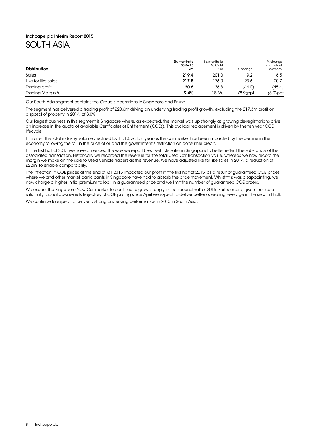## Inchcape plc Interim Report 2015 SOUTH ASIA

#### **Distribution** Six months to 30.06.15 £m Six months to 30.06.14 £m % change % change in constant currency Sales 201.0 9.2 6.5 (1992) 6.5 (1994) 6.5 (1994) 6.5 (1994) 6.5 (1994) 6.5 (1994) 6.5 (1995) 6.5 (1996) 6.5 (1 Like for like sales 20.7 **217.5** 23.6 20.7 Trading profit (45.4) (45.4) (45.4) (45.4) (45.4) (45.4) (45.4) (45.4) (45.4) (45.4) Trading Margin % 8.9) and 18.3% (8.9) and 18.3% (8.9) and 18.3% (8.9) and 18.3% (8.9) and 18.3% (8.9) and 18.3%

Our South Asia segment contains the Group's operations in Singapore and Brunei.

The segment has delivered a trading profit of £20.6m driving an underlying trading profit growth, excluding the £17.3m profit on disposal of property in 2014, of 3.0%.

Our largest business in this segment is Singapore where, as expected, the market was up strongly as growing de-registrations drive an increase in the quota of available Certificates of Entitlement (COEs). This cyclical replacement is driven by the ten year COE lifecycle.

In Brunei, the total industry volume declined by 11.1% vs. last year as the car market has been impacted by the decline in the economy following the fall in the price of oil and the government's restriction on consumer credit.

In the first half of 2015 we have amended the way we report Used Vehicle sales in Singapore to better reflect the substance of the associated transaction. Historically we recorded the revenue for the total Used Car transaction value, whereas we now record the margin we make on the sale to Used Vehicle traders as the revenue. We have adjusted like for like sales in 2014, a reduction of £22m, to enable comparability.

The inflection in COE prices at the end of Q1 2015 impacted our profit in the first half of 2015, as a result of guaranteed COE prices where we and other market participants in Singapore have had to absorb the price movement. Whilst this was disappointing, we now charge a higher initial premium to lock in a guaranteed price and we limit the number of guaranteed COE orders.

We expect the Singapore New Car market to continue to grow strongly in the second half of 2015. Furthermore, given the more rational gradual downwards trajectory of COE pricing since April we expect to deliver better operating leverage in the second half.

We continue to expect to deliver a strong underlying performance in 2015 in South Asia.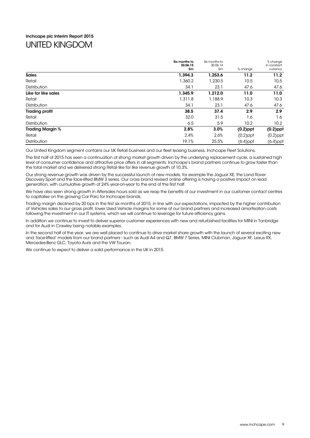## Inchcape plc Interim Report 2015 UNITED KINGDOM

|                         | Six months to<br>30.06.15 | Six months to<br>30.06.14 |             | % change<br>in constant |
|-------------------------|---------------------------|---------------------------|-------------|-------------------------|
|                         | £m                        | £m                        | % change    | currency                |
| <b>Sales</b>            | 1,394.3                   | 1,253.6                   | 11.2        | 11.2 <sub>2</sub>       |
| Retail                  | 1,360.2                   | 1,230.5                   | 10.5        | 10.5                    |
| <b>Distribution</b>     | 34.1                      | 23.1                      | 47.6        | 47.6                    |
| Like for like sales     | 1,345.9                   | 1,212.0                   | 11.0        | 11.0                    |
| Retail                  | 1,311.8                   | 1,188.9                   | 10.3        | 10.3                    |
| <b>Distribution</b>     | 34.1                      | 23.1                      | 47.6        | 47.6                    |
| <b>Trading profit</b>   | 38.5                      | 37.4                      | 2.9         | 2.9                     |
| Retail                  | 32.0                      | 31.5                      | 1.6         | 1.6                     |
| <b>Distribution</b>     | 6.5                       | 5.9                       | 10.2        | 10.2 <sub>2</sub>       |
| <b>Trading Margin %</b> | 2.8%                      | 3.0%                      | $(0.2)$ ppt | $(0.2)$ ppt             |
| Retail                  | 2.4%                      | 2.6%                      | $(0.2)$ ppt | $(0.2)$ ppt             |
| <b>Distribution</b>     | 19.1%                     | 25.5%                     | $(6.4)$ ppt | $(6.4)$ ppt             |

Our United Kingdom segment contains our UK Retail business and our fleet leasing business, Inchcape Fleet Solutions.

The first half of 2015 has seen a continuation of strong market growth driven by the underlying replacement cycle, a sustained high level of consumer confidence and attractive price offers in all segments. Inchcape's brand partners continue to grow faster than the total market and we delivered strong Retail like for like revenue growth of 10.3%.

Our strong revenue growth was driven by the successful launch of new models, for example the Jaguar XE, the Land Rover Discovery Sport and the face-lifted BMW 3 series. Our cross brand revised online offering is having a positive impact on lead generation, with cumulative growth of 24% year-on-year to the end of the first half.

We have also seen strong growth in Aftersales hours sold as we reap the benefits of our investment in our customer contact centres to capitalise on the growing Car Parc for Inchcape brands.

Trading margin declined by 20 bps in the first six months of 2015, in line with our expectations, impacted by the higher contribution of Vehicles sales to our gross profit, lower Used Vehicle margins for some of our brand partners and increased amortisation costs following the investment in our IT systems, which we will continue to leverage for future efficiency gains.

In addition we continue to invest to deliver superior customer experiences with new and refurbished facilities for MINI in Tonbridge and for Audi in Crawley being notable examples.

In the second half of the year, we are well placed to continue to drive market share growth with the launch of several exciting new and 'face-lifted' models from our brand partners - such as Audi A4 and Q7, BMW 7 Series, MINI Clubman, Jaguar XF, Lexus RX, Mercedes-Benz GLC, Toyota Auris and the VW Touran.

We continue to expect to deliver a solid performance in the UK in 2015.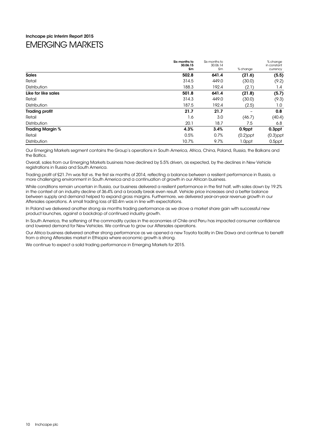## Inchcape plc Interim Report 2015 EMERGING MARKETS

|                         | Six months to<br>30.06.15<br>£m | Six months to<br>30.06.14<br>£m | % change    | % change<br>in constant<br>currency |
|-------------------------|---------------------------------|---------------------------------|-------------|-------------------------------------|
| <b>Sales</b>            | 502.8                           | 641.4                           | (21.6)      | (5.5)                               |
| Retail                  | 314.5                           | 449.0                           | (30.0)      | (9.2)                               |
| Distribution            | 188.3                           | 192.4                           | (2.1)       | 1.4                                 |
| Like for like sales     | 501.8                           | 641.4                           | (21.8)      | (5.7)                               |
| Retail                  | 314.3                           | 449.0                           | (30.0)      | (9.3)                               |
| Distribution            | 187.5                           | 192.4                           | (2.5)       | 1.0                                 |
| <b>Trading profit</b>   | 21.7                            | 21.7                            | -           | 0.8                                 |
| Retail                  | 1.6                             | 3.0                             | (46.7)      | (40.4)                              |
| Distribution            | 20.1                            | 18.7                            | 7.5         | 6.8                                 |
| <b>Trading Margin %</b> | 4.3%                            | 3.4%                            | 0.9ppt      | 0.3ppt                              |
| Retail                  | 0.5%                            | 0.7%                            | $(0.2)$ ppt | $(0.3)$ ppt                         |
| Distribution            | 10.7%                           | 9.7%                            | 1.0ppt      | 0.5ppt                              |

Our Emerging Markets segment contains the Group's operations in South America, Africa, China, Poland, Russia, the Balkans and the Baltics.

Overall, sales from our Emerging Markets business have declined by 5.5% driven, as expected, by the declines in New Vehicle registrations in Russia and South America.

Trading profit of £21.7m was flat vs. the first six months of 2014, reflecting a balance between a resilient performance in Russia, a more challenging environment in South America and a continuation of growth in our African business.

While conditions remain uncertain in Russia, our business delivered a resilient performance in the first half, with sales down by 19.2% in the context of an industry decline of 36.4% and a broadly break even result. Vehicle price increases and a better balance between supply and demand helped to expand gross margins. Furthermore, we delivered year-on-year revenue growth in our Aftersales operations. A small trading loss of £0.4m was in line with expectations.

In Poland we delivered another strong six months trading performance as we drove a market share gain with successful new product launches, against a backdrop of continued industry growth.

In South America, the softening of the commodity cycles in the economies of Chile and Peru has impacted consumer confidence and lowered demand for New Vehicles. We continue to grow our Aftersales operations.

Our Africa business delivered another strong performance as we opened a new Toyota facility in Dire Dawa and continue to benefit from a strong Aftersales market in Ethiopia where economic growth is strong.

We continue to expect a solid trading performance in Emerging Markets for 2015.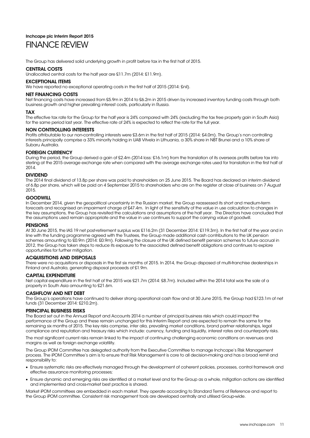### Inchcape plc Interim Report 2015 FINANCE REVIEW

The Group has delivered solid underlying growth in profit before tax in the first half of 2015.

### CENTRAL COSTS

Unallocated central costs for the half year are £11.7m (2014: £11.9m).

### EXCEPTIONAL ITEMS

We have reported no exceptional operating costs in the first half of 2015 (2014: £nil).

### NET FINANCING COSTS

Net financing costs have increased from £5.9m in 2014 to £6.2m in 2015 driven by increased inventory funding costs through both business growth and higher prevailing interest costs, particularly in Russia.

### TAX

The effective tax rate for the Group for the half year is 24% compared with 24% (excluding the tax free property gain in South Asia) for the same period last year. The effective rate of 24% is expected to reflect the rate for the full year.

### NON CONTROLLING INTERESTS

Profits attributable to our non-controlling interests were £3.6m in the first half of 2015 (2014: £4.0m). The Group's non controlling interests principally comprise a 33% minority holding in UAB Vitvela in Lithuania, a 30% share in NBT Brunei and a 10% share of Subaru Australia.

### FOREIGN CURRENCY

During the period, the Group derived a gain of £2.4m (2014 loss: £16.1m) from the translation of its overseas profits before tax into sterling at the 2015 average exchange rate when compared with the average exchange rates used for translation in the first half of  $2014$ 

### DIVIDEND

The 2014 final dividend of 13.8p per share was paid to shareholders on 25 June 2015. The Board has declared an interim dividend of 6.8p per share, which will be paid on 4 September 2015 to shareholders who are on the register at close of business on 7 August 2015.

### GOODWILL

In December 2014, given the geopolitical uncertainty in the Russian market, the Group reassessed its short and medium-term forecasts and recognised an impairment charge of £47.4m. In light of the sensitivity of the value in use calculation to changes in the key assumptions, the Group has revisited the calculations and assumptions at the half year. The Directors have concluded that the assumptions used remain appropriate and the value in use continues to support the carrying value of goodwill.

### **PENSIONS**

At 30 June 2015, the IAS 19 net post-retirement surplus was £116.2m (31 December 2014: £119.3m). In the first half of the year and in line with the funding programme agreed with the Trustees, the Group made additional cash contributions to the UK pension schemes amounting to £0.9m (2014: £0.9m). Following the closure of the UK defined benefit pension schemes to future accrual in 2012, the Group has taken steps to reduce its exposure to the associated defined benefit obligations and continues to explore opportunities for further mitigation.

### ACQUISITIONS AND DISPOSALS

There were no acquisitions or disposals in the first six months of 2015. In 2014, the Group disposed of multi-franchise dealerships in Finland and Australia, generating disposal proceeds of £1.9m.

### CAPITAL EXPENDITURE

Net capital expenditure in the first half of the 2015 was £21.7m (2014: £8.7m). Included within the 2014 total was the sale of a property in South Asia amounting to £21.6m.

### CASHFLOW AND NET DEBT

The Group's operations have continued to deliver strong operational cash flow and at 30 June 2015, the Group had £123.1m of net funds (31 December 2014: £210.2m).

### PRINCIPAL BUSINESS RISKS

The Board set out in the Annual Report and Accounts 2014 a number of principal business risks which could impact the performance of the Group and these remain unchanged for this Interim Report and are expected to remain the same for the remaining six months of 2015. The key risks comprise, inter alia, prevailing market conditions, brand partner relationships, legal compliance and reputation and treasury risks which include: currency, funding and liquidity, interest rates and counterparty risks.

The most significant current risks remain linked to the impact of continuing challenging economic conditions on revenues and margins as well as foreign exchange volatility.

The Group iPOM Committee has delegated authority from the Executive Committee to manage Inchcape's Risk Management process. The iPOM Committee's aim is to ensure that Risk Management is core to all decision-making and has a broad remit and responsibility to:

- Ensure systematic risks are effectively managed through the development of coherent policies, processes, control framework and effective assurance monitoring processes;
- Ensure dynamic and emerging risks are identified at a market level and for the Group as a whole, mitigation actions are identified and implemented and cross-market best practice is shared.

Market iPOM committees are embedded in each market. They operate according to Standard Terms of Reference and report to the Group iPOM committee. Consistent risk management tools are developed centrally and utilised Group-wide.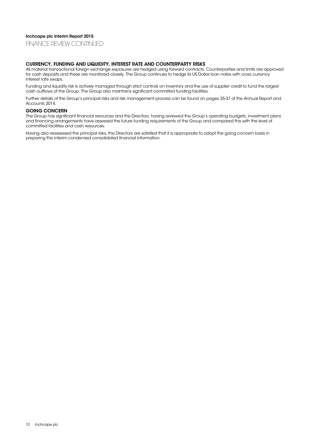### Inchcape plc Interim Report 2015

FINANCE REVIEW CONTINUED

### CURRENCY, FUNDING AND LIQUIDITY, INTEREST RATE AND COUNTERPARTY RISKS

All material transactional foreign exchange exposures are hedged using forward contracts. Counterparties and limits are approved for cash deposits and these are monitored closely. The Group continues to hedge its US Dollar loan notes with cross currency interest rate swaps.

Funding and liquidity risk is actively managed through strict controls on inventory and the use of supplier credit to fund the largest cash outflows of the Group. The Group also maintains significant committed funding facilities.

Further details of the Group's principal risks and risk management process can be found on pages 35-37 of the Annual Report and Accounts 2014.

### GOING CONCERN

The Group has significant financial resources and the Directors, having reviewed the Group's operating budgets, investment plans and financing arrangements have assessed the future funding requirements of the Group and compared this with the level of committed facilities and cash resources.

Having also reassessed the principal risks, the Directors are satisfied that it is appropriate to adopt the going concern basis in preparing this interim condensed consolidated financial information.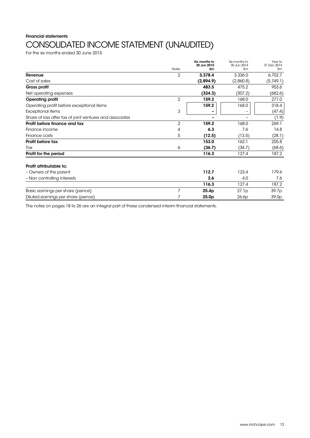## Financial statements CONSOLIDATED INCOME STATEMENT (UNAUDITED)

For the six months ended 30 June 2015

|                                                          |                | Six months to<br>30 Jun 2015 | Six months to<br>30 Jun 2014 | Year to<br>31 Dec 2014 |
|----------------------------------------------------------|----------------|------------------------------|------------------------------|------------------------|
|                                                          | <b>Notes</b>   | £m                           | £m                           | £m                     |
| Revenue                                                  | $\overline{2}$ | 3,378.4                      | 3,336.0                      | 6,702.7                |
| Cost of sales                                            |                | (2,894.9)                    | (2,860.8)                    | (5,749.1)              |
| Gross profit                                             |                | 483.5                        | 475.2                        | 953.6                  |
| Net operating expenses                                   |                | (324.3)                      | (307.2)                      | (682.6)                |
| <b>Operating profit</b>                                  | $\overline{2}$ | 159.2                        | 168.0                        | 271.0                  |
| Operating profit before exceptional items                |                | 159.2                        | 168.0                        | 318.4                  |
| Exceptional items                                        | 3              |                              |                              | (47.4)                 |
| Share of loss after tax of joint ventures and associates |                |                              |                              | (1.9)                  |
| Profit before finance and tax                            | $\overline{2}$ | 159.2                        | 168.0                        | 269.1                  |
| Finance income                                           | 4              | 6.3                          | 7.6                          | 14.8                   |
| Finance costs                                            | 5              | (12.5)                       | (13.5)                       | (28.1)                 |
| Profit before tax                                        |                | 153.0                        | 162.1                        | 255.8                  |
| Tax                                                      | 6              | (36.7)                       | (34.7)                       | (68.6)                 |
| Profit for the period                                    |                | 116.3                        | 127.4                        | 187.2                  |
| Profit attributable to:                                  |                |                              |                              |                        |
| - Owners of the parent                                   |                | 112.7                        | 123.4                        | 179.6                  |
| - Non controlling interests                              |                | 3.6                          | 4.0                          | 7.6                    |
|                                                          |                | 116.3                        | 127.4                        | 187.2                  |
| Basic earnings per share (pence)                         | 7              | 25.4p                        | 27.1p                        | 39.7p                  |
| Diluted earnings per share (pence)                       |                | 25.0 <sub>p</sub>            | 26.6p                        | 39.0 <sub>p</sub>      |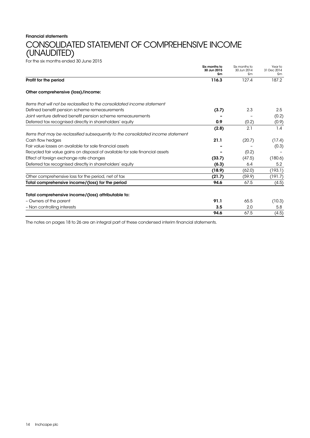## Financial statements CONSOLIDATED STATEMENT OF COMPREHENSIVE INCOME (UNAUDITED)

For the six months ended 30 June 2015

|                                                                                  | Six months to<br>30 Jun 2015<br>£m | Six months to<br>30 Jun 2014<br>£m | Year to<br>31 Dec 2014<br>£m |
|----------------------------------------------------------------------------------|------------------------------------|------------------------------------|------------------------------|
| Profit for the period                                                            | 116.3                              | 127.4                              | 187.2                        |
| Other comprehensive (loss)/income:                                               |                                    |                                    |                              |
| Items that will not be reclassified to the consolidated income statement         |                                    |                                    |                              |
| Defined benefit pension scheme remeasurements                                    | (3.7)                              | 2.3                                | 2.5                          |
| Joint venture defined benefit pension scheme remeasurements                      |                                    |                                    | (0.2)                        |
| Deferred tax recognised directly in shareholders' equity                         | 0.9                                | (0.2)                              | (0.9)                        |
|                                                                                  | (2.8)                              | 2.1                                | 1.4                          |
| Items that may be reclassified subsequently to the consolidated income statement |                                    |                                    |                              |
| Cash flow hedges                                                                 | 21.1                               | (20.7)                             | (17.4)                       |
| Fair value losses on available for sale financial assets                         |                                    |                                    | (0.3)                        |
| Recycled fair value gains on disposal of available for sale financial assets     |                                    | (0.2)                              |                              |
| Effect of foreign exchange rate changes                                          | (33.7)                             | (47.5)                             | (180.6)                      |
| Deferred tax recognised directly in shareholders' equity                         | (6.3)                              | 6.4                                | 5.2                          |
|                                                                                  | (18.9)                             | (62.0)                             | (193.1)                      |
| Other comprehensive loss for the period, net of tax                              | (21.7)                             | (59.9)                             | (191.7)                      |
| Total comprehensive income/(loss) for the period                                 | 94.6                               | 67.5                               | (4.5)                        |
| Total comprehensive income/(loss) attributable to:                               |                                    |                                    |                              |
| - Owners of the parent                                                           | 91.1                               | 65.5                               | (10.3)                       |
| - Non controlling interests                                                      | 3.5                                | 2.0                                | 5.8                          |
|                                                                                  | 94.6                               | 67.5                               | (4.5)                        |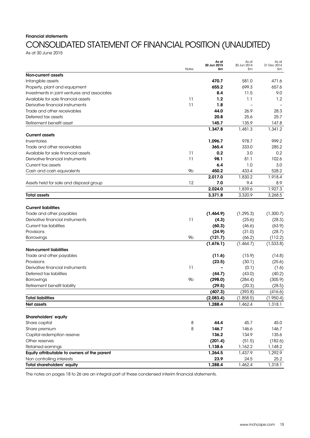### Financial statements

## CONSOLIDATED STATEMENT OF FINANCIAL POSITION (UNAUDITED)

As at 30 June 2015

|                                              |                | As at<br>30 Jun 2015 | As at<br>30 Jun 2014 | As at<br>31 Dec 2014 |
|----------------------------------------------|----------------|----------------------|----------------------|----------------------|
|                                              | Notes          | £m                   | £m                   | £m                   |
| <b>Non-current assets</b>                    |                |                      |                      |                      |
| Intangible assets                            |                | 470.7                | 581.0                | 471.6                |
| Property, plant and equipment                |                | 655.2                | 699.3                | 657.6                |
| Investments in joint ventures and associates |                | 8.4                  | 11.5                 | 9.0                  |
| Available for sale financial assets          | 11             | 1.2                  | 1.1                  | 1.2                  |
| Derivative financial instruments             | 11             | 1.8                  |                      |                      |
| Trade and other receivables                  |                | 44.0                 | 26.9                 | 28.3                 |
| Deferred tax assets                          |                | 20.8                 | 25.6                 | 25.7                 |
| Retirement benefit asset                     |                | 145.7                | 135.9                | 147.8                |
|                                              |                | 1,347.8              | 1,481.3              | 1,341.2              |
| <b>Current assets</b>                        |                |                      |                      |                      |
| Inventories                                  |                | 1,096.7              | 978.7                | 999.2                |
| Trade and other receivables                  |                | 365.4                | 333.0                | 285.2                |
| Available for sale financial assets          | 11             | 0.2                  | 3.0                  | 0.2                  |
| Derivative financial instruments             | 11             | 98.1                 | 81.1                 | 102.6                |
| Current tax assets                           |                | 6.4                  | 1.0                  | 3.0                  |
| Cash and cash equivalents                    | 9b             | 450.2                | 433.4                | 528.2                |
|                                              |                | 2,017.0              | 1,830.2              | 1,918.4              |
| Assets held for sale and disposal group      | 12             | 7.0                  | 9.4                  | 8.9                  |
|                                              |                | 2,024.0              |                      | 1,927.3              |
|                                              |                |                      | 1,839.6<br>3,320.9   |                      |
| <b>Total assets</b>                          |                | 3,371.8              |                      | 3,268.5              |
| <b>Current liabilities</b>                   |                |                      |                      |                      |
|                                              |                |                      |                      |                      |
| Trade and other payables                     |                | (1,464.9)            | (1, 295.3)           | (1,300.7)            |
| Derivative financial instruments             | 11             | (4.3)                | (25.6)               | (28.3)               |
| <b>Current tax liabilities</b>               |                | (60.3)               | (46.6)               | (63.9)               |
| Provisions                                   |                | (24.9)               | (31.0)               | (28.7)               |
| Borrowings                                   | 9 <sub>b</sub> | (121.7)              | (66.2)               | (112.2)              |
|                                              |                | (1,676.1)            | (1,464.7)            | (1, 533.8)           |
| <b>Non-current liabilities</b>               |                |                      |                      |                      |
| Trade and other payables                     |                | (11.6)               | (15.9)               | (14.8)               |
| Provisions                                   |                | (23.5)               | (30.1)               | (25.6)               |
| Derivative financial instruments             | 11             |                      | (0.1)                | (1.6)                |
| Deferred tax liabilities                     |                | (44.7)               | (43.0)               | (40.2)               |
| Borrowings                                   | 9b             | (298.0)              | (284.4)              | (305.9)              |
| Retirement benefit liability                 |                | (29.5)               | (20.3)               | (28.5)               |
|                                              |                | (407.3)              | (393.8)              | (416.6)              |
| <b>Total liabilities</b>                     |                | (2,083.4)            | (1,858.5)            | (1.950.4)            |
| <b>Net assets</b>                            |                | 1,288.4              | 1,462.4              | 1,318.1              |
|                                              |                |                      |                      |                      |
| Shareholders' equity                         |                |                      |                      |                      |
| Share capital                                | 8              | 44.4                 | 45.7                 | 45.0                 |
| Share premium                                | 8              | 146.7                | 146.6                | 146.7                |
| Capital redemption reserve                   |                | 136.2                | 134.9                | 135.6                |
| Other reserves                               |                | (201.4)              | (51.5)               | (182.6)              |
| Retained earnings                            |                | 1,138.6              | 1,162.2              | 1,148.2              |
| Equity attributable to owners of the parent  |                | 1,264.5              | 1,437.9              | 1,292.9              |
| Non controlling interests                    |                | 23.9                 | 24.5                 | 25.2                 |
| Total shareholders' equity                   |                | 1,288.4              | 1,462.4              | 1,318.1              |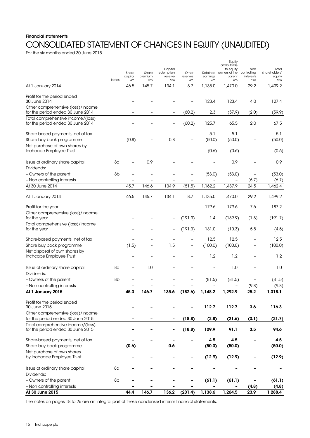## Financial statements CONSOLIDATED STATEMENT OF CHANGES IN EQUITY (UNAUDITED)

For the six months ended 30 June 2015

|                                                                        |              |                |               |                          |                |                | Equity<br>attributable              |                          |                        |
|------------------------------------------------------------------------|--------------|----------------|---------------|--------------------------|----------------|----------------|-------------------------------------|--------------------------|------------------------|
|                                                                        |              | Share          | Share         | Capital<br>redemption    | Other          |                | to equity<br>Retained owners of the | Non<br>controlling       | Total<br>shareholders' |
|                                                                        | <b>Notes</b> | capital<br>£m  | premium<br>£m | reserve<br>£m            | reserves<br>£m | earnings<br>£m | parent<br>£m                        | interests<br>£m          | equity<br>£m           |
| At 1 January 2014                                                      |              | 46.5           | 145.7         | 134.1                    | 8.7            | 1,135.0        | 1,470.0                             | 29.2                     | 1,499.2                |
| Profit for the period ended                                            |              |                |               |                          |                |                |                                     |                          |                        |
| 30 June 2014                                                           |              |                |               |                          |                | 123.4          | 123.4                               | 4.0                      | 127.4                  |
| Other comprehensive (loss)/income<br>for the period ended 30 June 2014 |              |                |               |                          | (60.2)         | 2.3            | (57.9)                              | (2.0)                    | (59.9)                 |
| Total comprehensive income/(loss)<br>for the period ended 30 June 2014 |              |                |               |                          | (60.2)         | 125.7          | 65.5                                | 2.0                      | 67.5                   |
| Share-based payments, net of tax                                       |              |                |               |                          |                | 5.1            | 5.1                                 |                          | 5.1                    |
| Share buy back programme                                               |              | (0.8)          |               | 0.8                      |                | (50.0)         | (50.0)                              |                          | (50.0)                 |
| Net purchase of own shares by                                          |              |                |               |                          |                |                |                                     |                          |                        |
| Inchcape Employee Trust                                                |              |                |               |                          |                | (0.6)          | (0.6)                               |                          | (0.6)                  |
| Issue of ordinary share capital<br>Dividends:                          | 8α           | $\overline{a}$ | 0.9           |                          |                |                | 0.9                                 | $\overline{\phantom{0}}$ | 0.9                    |
| - Owners of the parent                                                 | 8b           | ÷              |               |                          |                | (53.0)         | (53.0)                              | $\overline{\phantom{0}}$ | (53.0)                 |
| - Non controlling interests                                            |              |                |               |                          |                |                |                                     | (6.7)                    | (6.7)                  |
| At 30 June 2014                                                        |              | 45.7           | 146.6         | 134.9                    | (51.5)         | 1,162.2        | 1,437.9                             | 24.5                     | 1,462.4                |
| At 1 January 2014                                                      |              | 46.5           | 145.7         | 134.1                    | 8.7            | 1,135.0        | 1,470.0                             | 29.2                     | 1,499.2                |
| Profit for the year                                                    |              |                |               |                          |                | 179.6          | 179.6                               | 7.6                      | 187.2                  |
| Other comprehensive (loss)/income<br>for the year                      |              |                |               | -                        | (191.3)        | 1.4            | (189.9)                             | (1.8)                    | (191.7)                |
| Total comprehensive (loss)/income                                      |              |                |               |                          |                |                |                                     |                          |                        |
| for the year                                                           |              |                |               | $\overline{\phantom{0}}$ | (191.3)        | 181.0          | (10.3)                              | 5.8                      | (4.5)                  |
| Share-based payments, net of tax                                       |              |                |               |                          |                | 12.5           | 12.5                                |                          | 12.5                   |
| Share buy back programme                                               |              | (1.5)          |               | 1.5                      |                | (100.0)        | (100.0)                             |                          | (100.0)                |
| Net disposal of own shares by                                          |              |                |               |                          |                |                |                                     |                          |                        |
| Inchcape Employee Trust                                                |              | ÷              |               |                          |                | 1.2            | 1.2                                 |                          | 1.2                    |
| Issue of ordinary share capital                                        | 8a           | $\overline{a}$ | 1.0           |                          |                |                | 1.0                                 |                          | 1.0                    |
| Dividends:                                                             |              |                |               |                          |                |                |                                     |                          |                        |
| - Owners of the parent                                                 | 8b           |                |               |                          |                | (81.5)         | (81.5)                              | -                        | (81.5)                 |
| - Non controlling interests                                            |              |                |               |                          |                |                |                                     | (9.8)                    | (9.8)                  |
| At 1 January 2015                                                      |              | 45.0           | 146.7         | 135.6                    | (182.6)        | 1,148.2        | 1.292.9                             | 25.2                     | 1,318.1                |
| Profit for the period ended<br>30 June 2015                            |              |                |               |                          |                | 112.7          | 112.7                               | 3.6                      | 116.3                  |
| Other comprehensive (loss)/income                                      |              |                |               |                          |                |                |                                     |                          |                        |
| for the period ended 30 June 2015                                      |              |                |               |                          | (18.8)         | (2.8)          | (21.6)                              | (0.1)                    | (21.7)                 |
| Total comprehensive income/(loss)<br>for the period ended 30 June 2015 |              |                |               |                          | (18.8)         | 109.9          | 91.1                                | 3.5                      | 94.6                   |
| Share-based payments, net of tax                                       |              |                |               |                          |                | 4.5            | 4.5                                 |                          | 4.5                    |
| Share buy back programme                                               |              | (0.6)          |               | 0.6                      |                | (50.0)         | (50.0)                              |                          | (50.0)                 |
| Net purchase of own shares                                             |              |                |               |                          |                |                |                                     |                          |                        |
| by Inchcape Employee Trust                                             |              |                |               |                          |                | (12.9)         | (12.9)                              |                          | (12.9)                 |
| Issue of ordinary share capital                                        | 8α           |                |               |                          |                |                |                                     |                          |                        |
| Dividends:                                                             |              |                |               |                          |                |                |                                     |                          |                        |
| - Owners of the parent                                                 | 8b           |                |               |                          |                | (61.1)         | (61.1)                              |                          | (61.1)                 |
| - Non controlling interests<br>At 30 June 2015                         |              | 44.4           | 146.7         | 136.2                    | (201.4)        | 1,138.6        | 1,264.5                             | (4.8)<br>23.9            | (4.8)<br>1,288.4       |
|                                                                        |              |                |               |                          |                |                |                                     |                          |                        |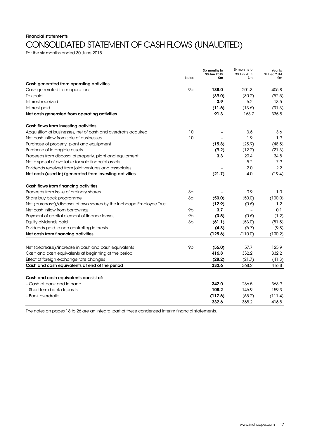## Financial statements CONSOLIDATED STATEMENT OF CASH FLOWS (UNAUDITED)

For the six months ended 30 June 2015

|                                                                      | <b>Notes</b>   | Six months to<br>30 Jun 2015<br>£m | Six months to<br>30 Jun 2014<br>£m | Year to<br>31 Dec 2014<br>£m |
|----------------------------------------------------------------------|----------------|------------------------------------|------------------------------------|------------------------------|
| Cash generated from operating activities                             |                |                                    |                                    |                              |
| Cash generated from operations                                       | 9 <sub>G</sub> | 138.0                              | 201.3                              | 405.8                        |
| Tax paid                                                             |                | (39.0)                             | (30.2)                             | (52.5)                       |
| Interest received                                                    |                | 3.9                                | 6.2                                | 13.5                         |
| Interest paid                                                        |                | (11.6)                             | (13.6)                             | (31.3)                       |
| Net cash generated from operating activities                         |                | 91.3                               | 163.7                              | 335.5                        |
| Cash flows from investing activities                                 |                |                                    |                                    |                              |
| Acquisition of businesses, net of cash and overdrafts acquired       | 10             |                                    | 3.6                                | 3.6                          |
| Net cash inflow from sale of businesses                              | 10             |                                    | 1.9                                | 1.9                          |
| Purchase of property, plant and equipment                            |                | (15.8)                             | (25.9)                             | (48.5)                       |
| Purchase of intangible assets                                        |                | (9.2)                              | (12.2)                             | (21.3)                       |
| Proceeds from disposal of property, plant and equipment              |                | 3.3                                | 29.4                               | 34.8                         |
| Net disposal of available for sale financial assets                  |                |                                    | 5.2                                | 7.9                          |
| Dividends received from joint ventures and associates                |                |                                    | 2.0                                | $2.2\,$                      |
| Net cash (used in)/generated from investing activities               |                | (21.7)                             | 4.0                                | (19.4)                       |
| Cash flows from financing activities                                 |                |                                    |                                    |                              |
| Proceeds from issue of ordinary shares                               | 8a             |                                    | 0.9                                | 1.0                          |
| Share buy back programme                                             | 8a             | (50.0)                             | (50.0)                             | (100.0)                      |
| Net (purchase)/disposal of own shares by the Inchcape Employee Trust |                | (12.9)                             | (0.6)                              | 1.2                          |
| Net cash inflow from borrowings                                      | 9 <sub>b</sub> | 3.7                                |                                    | 0.1                          |
| Payment of capital element of finance leases                         | 9b             | (0.5)                              | (0.6)                              | (1.2)                        |
| Equity dividends paid                                                | 8 <sub>b</sub> | (61.1)                             | (53.0)                             | (81.5)                       |
| Dividends paid to non controlling interests                          |                | (4.8)                              | (6.7)                              | (9.8)                        |
| Net cash from financing activities                                   |                | (125.6)                            | (110.0)                            | (190.2)                      |
| Net (decrease)/increase in cash and cash equivalents                 | 9 <sub>b</sub> | (56.0)                             | 57.7                               | 125.9                        |
| Cash and cash equivalents at beginning of the period                 |                | 416.8                              | 332.2                              | 332.2                        |
| Effect of foreign exchange rate changes                              |                | (28.2)                             | (21.7)                             | (41.3)                       |
| Cash and cash equivalents at end of the period                       |                | 332.6                              | 368.2                              | 416.8                        |
|                                                                      |                |                                    |                                    |                              |
| Cash and cash equivalents consist of:<br>- Cash at bank and in hand  |                | 342.0                              | 286.5                              | 368.9                        |
| - Short term bank deposits                                           |                | 108.2                              | 146.9                              | 159.3                        |
| - Bank overdrafts                                                    |                | (117.6)                            | (65.2)                             | (111.4)                      |
|                                                                      |                | 332.6                              | 368.2                              | 416.8                        |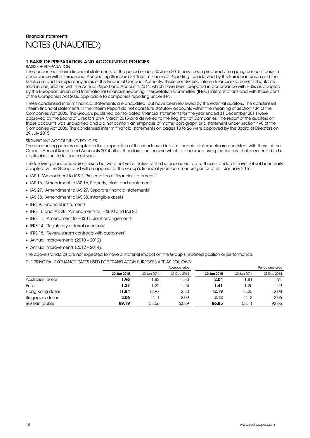## Financial statements NOTES (UNAUDITED)

### 1 BASIS OF PREPARATION AND ACCOUNTING POLICIES

### BASIS OF PREPARATION

The condensed interim financial statements for the period ended 30 June 2015 have been prepared on a going concern basis in accordance with International Accounting Standard 34 'Interim Financial Reporting' as adopted by the European Union and the Disclosure and Transparency Rules of the Financial Conduct Authority. These condensed interim financial statements should be read in conjunction with the Annual Report and Accounts 2014, which have been prepared in accordance with IFRSs as adopted by the European Union and International Financial Reporting Interpretation Committee (IFRIC) interpretations and with those parts of the Companies Act 2006 applicable to companies reporting under IFRS.

These condensed interim financial statements are unaudited, but have been reviewed by the external auditors. The condensed interim financial statements in the Interim Report do not constitute statutory accounts within the meaning of Section 434 of the Companies Act 2006. The Group's published consolidated financial statements for the year ended 31 December 2014 were approved by the Board of Directors on 9 March 2015 and delivered to the Registrar of Companies. The report of the auditors on those accounts was unqualified and did not contain an emphasis of matter paragraph or a statement under section 498 of the Companies Act 2006. The condensed interim financial statements on pages 13 to 26 were approved by the Board of Directors on 29 July 2015.

### SIGNIFICANT ACCOUNTING POLICIES

The accounting policies adopted in the preparation of the condensed interim financial statements are consistent with those of the Group's Annual Report and Accounts 2014 other than taxes on income which are accrued using the tax rate that is expected to be applicable for the full financial year.

The following standards were in issue but were not yet effective at the balance sheet date. These standards have not yet been early adopted by the Group, and will be applied for the Group's financial years commencing on or after 1 January 2016:

- IAS 1, 'Amendment to IAS 1, Presentation of financial statements'
- IAS 16, 'Amendment to IAS 16, Property, plant and equipment'
- IAS 27, `Amendment to IAS 27, Separate financial statements'
- IAS 38, 'Amendment to IAS 38, Intangible assets'
- IFRS 9, 'Financial instruments'
- IFRS 10 and IAS 28, 'Amendments to IFRS 10 and IAS 28'
- IFRS 11, `Amendment to IFRS 11, Joint arrangements'
- IFRS 14, 'Regulatory deferral accounts
- IFRS 15, 'Revenue from contracts with customers'
- Annual improvements (2010 2012)
- Annual improvements (2012 2014).

The above standards are not expected to have a material impact on the Group's reported position or performance.

### THE PRINCIPAL EXCHANGE RATES USED FOR TRANSLATION PURPOSES ARE AS FOLLOWS:

|                   |             |             | Average rates |             |             | Period end rates |
|-------------------|-------------|-------------|---------------|-------------|-------------|------------------|
|                   | 30 Jun 2015 | 30 Jun 2014 | 31 Dec 2014   | 30 Jun 2015 | 30 Jun 2014 | 31 Dec 2014      |
| Australian dollar | 1.96        | 1.83        | 83. ا         | 2.04        | 1.81        | 1.91             |
| Euro              | 1.37        | 1.22        | 1.24          | 1.41        | 1.25        | 1.29             |
| Hong Kong dollar  | 11.84       | 12.97       | 12.80         | 12.19       | 13.25       | 12.08            |
| Singapore dollar  | 2.06        | 2.11        | 2.09          | 2.12        | 2.13        | 2.06             |
| Russian rouble    | 89.19       | 58.56       | 63.29         | 86.85       | 58.11       | 92.65            |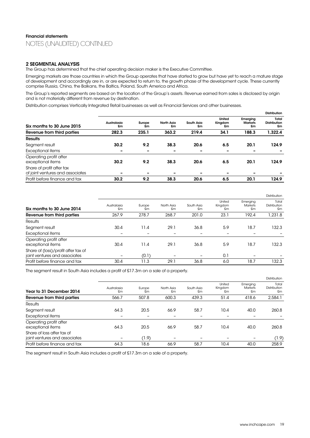### 2 SEGMENTAL ANALYSIS

The Group has determined that the chief operating decision maker is the Executive Committee.

Emerging markets are those countries in which the Group operates that have started to grow but have yet to reach a mature stage of development and accordingly are in, or are expected to return to, the growth phase of the development cycle. These currently comprise Russia, China, the Balkans, the Baltics, Poland, South America and Africa.

The Group's reported segments are based on the location of the Group's assets. Revenue earned from sales is disclosed by origin and is not materially different from revenue by destination.

Distribution comprises Vertically Integrated Retail businesses as well as Financial Services and other businesses.

|                                                               |                   |                          |                  |                  |                          |                                  | <b>Distribution</b>                |
|---------------------------------------------------------------|-------------------|--------------------------|------------------|------------------|--------------------------|----------------------------------|------------------------------------|
| Six months to 30 June 2015                                    | Australasia<br>£m | Europe<br>£m             | North Asia<br>£m | South Asia<br>£m | United<br>Kingdom<br>£m  | Emerging<br><b>Markets</b><br>£m | Total<br><b>Distribution</b><br>£m |
| Revenue from third parties                                    | 282.3             | 235.1                    | 363.2            | 219.4            | 34.1                     | 188.3                            | 1,322.4                            |
| <b>Results</b>                                                |                   |                          |                  |                  |                          |                                  |                                    |
| Segment result                                                | 30.2              | 9.2                      | 38.3             | 20.6             | 6.5                      | 20.1                             | 124.9                              |
| Exceptional items                                             |                   | $\overline{\phantom{0}}$ |                  |                  | $\overline{\phantom{0}}$ |                                  |                                    |
| Operating profit after<br>exceptional items                   | 30.2              | 9.2                      | 38.3             | 20.6             | 6.5                      | 20.1                             | 124.9                              |
| Share of profit after tax<br>of joint ventures and associates |                   | $\overline{\phantom{a}}$ |                  |                  | $\overline{\phantom{0}}$ |                                  |                                    |
| Profit before finance and tax                                 | 30.2              | 9.2                      | 38.3             | 20.6             | 6.5                      | 20.1                             | 124.9                              |

|                                                                      |                   |              |                  |                  |                          |                                  | <b>Distribution</b>         |
|----------------------------------------------------------------------|-------------------|--------------|------------------|------------------|--------------------------|----------------------------------|-----------------------------|
| Six months to 30 June 2014                                           | Australasia<br>£m | Europe<br>£m | North Asia<br>£m | South Asia<br>£m | United<br>Kingdom<br>£m  | Emerging<br><b>Markets</b><br>£m | Total<br>Distribution<br>£m |
| Revenue from third parties                                           | 267.9             | 278.7        | 268.7            | 201.0            | 23.1                     | 192.4                            | 1,231.8                     |
| <b>Results</b>                                                       |                   |              |                  |                  |                          |                                  |                             |
| Segment result                                                       | 30.4              | 11.4         | 29.1             | 36.8             | 5.9                      | 18.7                             | 132.3                       |
| <b>Exceptional items</b>                                             |                   |              |                  |                  | $\overline{\phantom{a}}$ |                                  |                             |
| Operating profit after<br>exceptional items                          | 30.4              | 11.4         | 29.1             | 36.8             | 5.9                      | 18.7                             | 132.3                       |
| Share of (loss)/profit after tax of<br>joint ventures and associates |                   | (0.1)        |                  |                  | 0.1                      |                                  |                             |
| Profit before finance and tax                                        | 30.4              | 11.3         | 29.1             | 36.8             | 6.0                      | 18.7                             | 132.3                       |

The segment result in South Asia includes a profit of £17.3m on a sale of a property.

|                                                             |                   |              |                  |                  |                         |                           | Distribution                |
|-------------------------------------------------------------|-------------------|--------------|------------------|------------------|-------------------------|---------------------------|-----------------------------|
| Year to 31 December 2014                                    | Australasia<br>£m | Europe<br>£m | North Asia<br>£m | South Asia<br>£m | United<br>Kingdom<br>£m | Emerging<br>Markets<br>£m | Total<br>Distribution<br>£m |
| Revenue from third parties                                  | 566.7             | 507.8        | 600.3            | 439.3            | 51.4                    | 418.6                     | 2,584.1                     |
| Results                                                     |                   |              |                  |                  |                         |                           |                             |
| Segment result                                              | 64.3              | 20.5         | 66.9             | 58.7             | 10.4                    | 40.0                      | 260.8                       |
| <b>Exceptional items</b>                                    |                   |              |                  |                  | -                       |                           |                             |
| Operating profit after<br>exceptional items                 | 64.3              | 20.5         | 66.9             | 58.7             | 10.4                    | 40.0                      | 260.8                       |
| Share of loss after tax of<br>joint ventures and associates |                   | (1.9)        | -                |                  | -                       | -                         | (1.9)                       |
| Profit before finance and tax                               | 64.3              | 18.6         | 66.9             | 58.7             | 10.4                    | 40.0                      | 258.9                       |

The segment result in South Asia includes a profit of £17.3m on a sale of a property.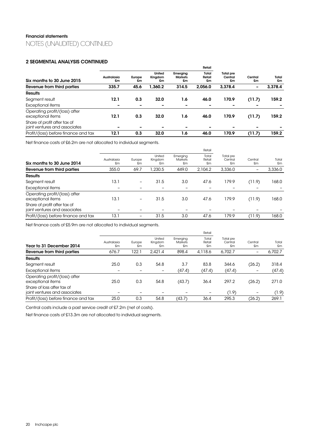### 2 SEGMENTAL ANALYSIS CONTINUED

|                                                               |                   |              |                         |                                  | Retail                |                                   |               |             |
|---------------------------------------------------------------|-------------------|--------------|-------------------------|----------------------------------|-----------------------|-----------------------------------|---------------|-------------|
| Six months to 30 June 2015                                    | Australasia<br>£m | Europe<br>£m | United<br>Kingdom<br>£m | Emerging<br><b>Markets</b><br>£m | Total<br>Retail<br>£m | <b>Total pre</b><br>Central<br>£m | Central<br>£m | Total<br>£m |
| Revenue from third parties                                    | 335.7             | 45.6         | 1,360.2                 | 314.5                            | 2.056.0               | 3,378.4                           | -             | 3,378.4     |
| <b>Results</b>                                                |                   |              |                         |                                  |                       |                                   |               |             |
| Segment result                                                | 12.1              | 0.3          | 32.0                    | 1.6                              | 46.0                  | 170.9                             | (11.7)        | 159.2       |
| Exceptional items                                             | -                 |              |                         | -                                | -                     | -                                 |               |             |
| Operating profit/(loss) after<br>exceptional items            | 12.1              | 0.3          | 32.0                    | 1.6                              | 46.0                  | 170.9                             | (11.7)        | 159.2       |
| Share of profit after tax of<br>joint ventures and associates |                   | -            |                         | -                                | -                     |                                   |               |             |
| Profit/(loss) before finance and tax                          | 12.1              | 0.3          | 32.0                    | 1.6                              | 46.0                  | 170.9                             | (11.7)        | 159.2       |

Net finance costs of £6.2m are not allocated to individual segments.

|                                                               |                   |                          |                         |                                  | Retail                |                            | Central<br>£m |             |
|---------------------------------------------------------------|-------------------|--------------------------|-------------------------|----------------------------------|-----------------------|----------------------------|---------------|-------------|
| Six months to 30 June 2014                                    | Australasia<br>£m | Europe<br>£m             | United<br>Kingdom<br>£m | Emerging<br><b>Markets</b><br>£m | Total<br>Retail<br>£m | Total pre<br>Central<br>£m |               | Total<br>£m |
| Revenue from third parties                                    | 355.0             | 69.7                     | ,230.5                  | 449.0                            | 2.104.2               | 3,336.0                    |               | 3,336.0     |
| <b>Results</b>                                                |                   |                          |                         |                                  |                       |                            |               |             |
| Segment result                                                | 13.1              | -                        | 31.5                    | 3.0                              | 47.6                  | 179.9                      | (11.9)        | 168.0       |
| Exceptional items                                             |                   |                          |                         |                                  |                       |                            |               |             |
| Operating profit/(loss) after<br>exceptional items            | 13.1              | $\overline{\phantom{0}}$ | 31.5                    | 3.0                              | 47.6                  | 179.9                      | (11.9)        | 168.0       |
| Share of profit after tax of<br>joint ventures and associates |                   |                          |                         |                                  |                       |                            |               |             |
| Profit/(loss) before finance and tax                          | 13.1              | -                        | 31.5                    | 3.0                              | 47.6                  | 179.9                      | (11.9)        | 168.0       |

Net finance costs of £5.9m are not allocated to individual segments.

|                   |              |                         |                                  | Retail                |                            |               |             |  |  |
|-------------------|--------------|-------------------------|----------------------------------|-----------------------|----------------------------|---------------|-------------|--|--|
| Australasia<br>£m | Europe<br>£m | United<br>Kingdom<br>£m | Emerging<br><b>Markets</b><br>£m | Total<br>Retail<br>£m | Total pre<br>Central<br>£m | Central<br>£m | Total<br>£m |  |  |
| 676.7             | 122.1        | 2.421.4                 | 898.4                            | 4.118.6               | 6.702.7                    | -             | 6,702.7     |  |  |
|                   |              |                         |                                  |                       |                            |               |             |  |  |
| 25.0              | 0.3          | 54.8                    | 3.7                              | 83.8                  | 344.6                      | (26.2)        | 318.4       |  |  |
|                   |              |                         | (47.4)                           | (47.4)                | (47.4)                     |               | (47.4)      |  |  |
| 25.0              | 0.3          | 54.8                    | (43.7)                           | 36.4                  | 297.2                      | (26.2)        | 271.0       |  |  |
|                   |              |                         |                                  |                       | (1.9)                      |               | (1.9)       |  |  |
| 25.0              | 0.3          | 54.8                    | (43.7)                           | 36.4                  | 295.3                      | (26.2)        | 269.1       |  |  |
|                   |              |                         |                                  |                       |                            |               |             |  |  |

Central costs include a past service credit of £7.2m (net of costs).

Net finance costs of £13.3m are not allocated to individual segments.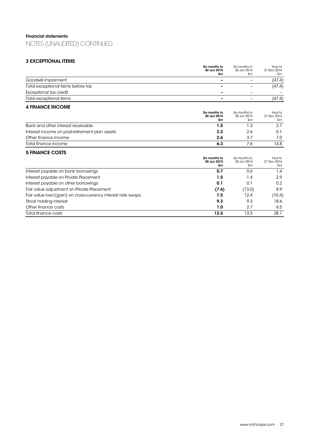## 3 EXCEPTIONAL ITEMS

|                                                              | Six months to<br>30 Jun 2015       | Six months to<br>30 Jun 2014       | Year to<br>31 Dec 2014       |
|--------------------------------------------------------------|------------------------------------|------------------------------------|------------------------------|
|                                                              | £m                                 | Sm                                 | £m                           |
| Goodwill impairment                                          |                                    | $=$                                | (47.4)                       |
| Total exceptional items before tax                           |                                    |                                    | (47.4)                       |
| Exceptional tax credit                                       |                                    |                                    |                              |
| Total exceptional items                                      |                                    | -                                  | (47.4)                       |
| <b>4 FINANCE INCOME</b>                                      |                                    |                                    |                              |
|                                                              | Six months to<br>30 Jun 2015<br>£m | Six months to<br>30 Jun 2014<br>£m | Year to<br>31 Dec 2014<br>£m |
| Bank and other interest receivable                           | 1.5                                | 1.3                                | 2.7                          |
| Interest income on post-retirement plan assets               | 2.2                                | 2.6                                | 5.1                          |
| Other finance income                                         | 2.6                                | 3.7                                | 7.0                          |
| Total finance income                                         | 6.3                                | 7.6                                | 14.8                         |
| <b>5 FINANCE COSTS</b>                                       |                                    |                                    |                              |
|                                                              | Six months to<br>30 Jun 2015<br>£m | Six months to<br>30 Jun 2014<br>£m | Year to<br>31 Dec 2014<br>£m |
| Interest payable on bank borrowings                          | 0.7                                | 0.6                                | 1.4                          |
| Interest payable on Private Placement                        | 1.5                                | 1.4                                | 2.9                          |
| Interest payable on other borrowings                         | 0.1                                | 0.1                                | 0.2                          |
| Fair value adjustment on Private Placement                   | (7.6)                              | (13.0)                             | 8.9                          |
| Fair value loss/(gain) on cross-currency interest rate swaps | 7.5                                | 12.4                               | (10.4)                       |
| Stock holding interest                                       | 9.3                                | 9.3                                | 18.6                         |
| Other finance costs                                          | 1.0                                | 2.7                                | 6.5                          |
| Total finance costs                                          | 12.5                               | 13.5                               | 28.1                         |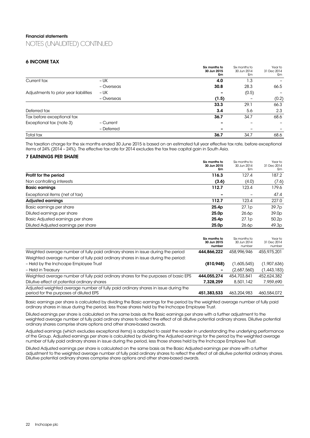### 6 INCOME TAX

|                                       |            | Six months to<br>30 Jun 2015<br>£m | Six months to<br>30 Jun 2014<br>£m | Year to<br>31 Dec 2014<br>£m |
|---------------------------------------|------------|------------------------------------|------------------------------------|------------------------------|
| Current tax                           | – UK       | 4.0                                | 1.3                                |                              |
|                                       | - Overseas | 30.8                               | 28.3                               | 66.5                         |
| Adjustments to prior year liabilities | $- UK$     |                                    | (0.5)                              |                              |
|                                       | - Overseas | (1.5)                              |                                    | (0.2)                        |
|                                       |            | 33.3                               | 29.1                               | 66.3                         |
| Deferred tax                          |            | 3.4                                | 5.6                                | 2.3                          |
| Tax before exceptional tax            |            | 36.7                               | 34.7                               | 68.6                         |
| Exceptional tax (note 3)              | - Current  |                                    |                                    |                              |
|                                       | - Deferred |                                    |                                    |                              |
| Total tax                             |            | 36.7                               | 34.7                               | 68.6                         |

The taxation charge for the six months ended 30 June 2015 is based on an estimated full year effective tax rate, before exceptional items of 24% (2014 – 24%). The effective tax rate for 2014 excludes the tax free capital gain in South Asia.

### 7 EARNINGS PER SHARE

|                                     | Six months to<br>30 Jun 2015<br>£m | Six months to<br>30 Jun 2014<br>£m | Year to<br>31 Dec 2014<br>£m |
|-------------------------------------|------------------------------------|------------------------------------|------------------------------|
| Profit for the period               | 116.3                              | 127.4                              | 187.2                        |
| Non controlling interests           | (3.6)                              | (4.0)                              | (7.6)                        |
| <b>Basic earnings</b>               | 112.7                              | 123.4                              | 179.6                        |
| Exceptional items (net of tax)      |                                    |                                    | 47.4                         |
| <b>Adjusted earnings</b>            | 112.7                              | 123.4                              | 227.0                        |
| Basic earnings per share            | 25.4p                              | 27.1p                              | 39.7p                        |
| Diluted earnings per share          | 25.0 <sub>p</sub>                  | 26.6p                              | 39.0 <sub>p</sub>            |
| Basic Adjusted earnings per share   | 25.4p                              | 27.1p                              | 50.2p                        |
| Diluted Adjusted earnings per share | 25.0 <sub>p</sub>                  | 26.6p                              | 49.3p                        |

|                                                                                                                              | Six months to<br>30 Jun 2015<br>number | Six months to<br>30 Jun 2014<br>number | Year to<br>31 Dec 2014<br>number |
|------------------------------------------------------------------------------------------------------------------------------|----------------------------------------|----------------------------------------|----------------------------------|
| Weighted average number of fully paid ordinary shares in issue during the period                                             | 444,866,222                            | 458,996,946                            | 455,975,201                      |
| Weighted average number of fully paid ordinary shares in issue during the period:                                            |                                        |                                        |                                  |
| - Held by the Inchcape Employee Trust                                                                                        | (810, 948)                             | (1,605,545)                            | (1,907,636)                      |
| - Held in Treasury                                                                                                           |                                        | (2,687,560)                            | (1,443,183)                      |
| Weighted average number of fully paid ordinary shares for the purposes of basic EPS                                          | 444.055.274                            | 454,703,841                            | 452,624,382                      |
| Dilutive effect of potential ordinary shares                                                                                 | 7.328.259                              | 8,501,142                              | 7.959.690                        |
| Adjusted weighted average number of fully paid ordinary shares in issue during the<br>period for the purposes of diluted EPS | 451,383,533                            | 463,204,983                            | 460,584,072                      |

Basic earnings per share is calculated by dividing the Basic earnings for the period by the weighted average number of fully paid ordinary shares in issue during the period, less those shares held by the Inchcape Employee Trust.

Diluted earnings per share is calculated on the same basis as the Basic earnings per share with a further adjustment to the weighted average number of fully paid ordinary shares to reflect the effect of all dilutive potential ordinary shares. Dilutive potential ordinary shares comprise share options and other share-based awards.

Adjusted earnings (which excludes exceptional items) is adopted to assist the reader in understanding the underlying performance of the Group. Adjusted earnings per share is calculated by dividing the Adjusted earnings for the period by the weighted average number of fully paid ordinary shares in issue during the period, less those shares held by the Inchcape Employee Trust.

Diluted Adjusted earnings per share is calculated on the same basis as the Basic Adjusted earnings per share with a further adjustment to the weighted average number of fully paid ordinary shares to reflect the effect of all dilutive potential ordinary shares. Dilutive potential ordinary shares comprise share options and other share-based awards.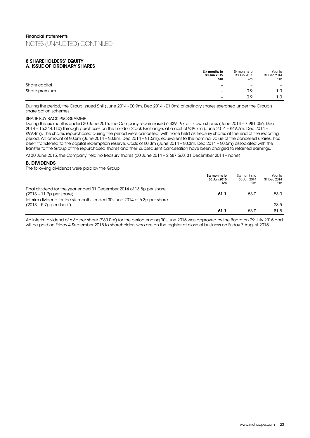### 8 SHAREHOLDERS' EQUITY A. ISSUE OF ORDINARY SHARES

|               | Six months to<br>30 Jun 2015<br>£m | Six months to<br>30 Jun 2014<br>£m | Year to<br>31 Dec 2014<br>£m |
|---------------|------------------------------------|------------------------------------|------------------------------|
| Share capital | -                                  | -                                  | $\overline{\phantom{0}}$     |
| Share premium | $\overline{\phantom{0}}$           | ΩÇ                                 | . .0                         |
|               | $\overline{\phantom{0}}$           | n a                                | . .0                         |

During the period, the Group issued £nil (June 2014 - £0.9m, Dec 2014 - £1.0m) of ordinary shares exercised under the Group's share option schemes.

### SHARE BUY BACK PROGRAMME

During the six months ended 30 June 2015, the Company repurchased 6,439,197 of its own shares (June 2014 – 7,981,056, Dec 2014 – 15,344,110) through purchases on the London Stock Exchange, at a cost of £49.7m (June 2014 – £49.7m, Dec 2014 – £99.4m). The shares repurchased during the period were cancelled, with none held as treasury shares at the end of the reporting period. An amount of £0.6m (June 2014 – £0.8m, Dec 2014 – £1.5m), equivalent to the nominal value of the cancelled shares, has been transferred to the capital redemption reserve. Costs of £0.3m (June 2014 – £0.3m, Dec 2014 – £0.6m) associated with the transfer to the Group of the repurchased shares and their subsequent cancellation have been charged to retained earnings.

At 30 June 2015, the Company held no treasury shares (30 June 2014 – 2,687,560, 31 December 2014 – none).

### B. DIVIDENDS

The following dividends were paid by the Group:

|                                                                                                       | Six months to<br>30 Jun 2015<br>£m | Six months to<br>30 Jun 2014<br>£m | Year to<br>31 Dec 2014<br>£m |
|-------------------------------------------------------------------------------------------------------|------------------------------------|------------------------------------|------------------------------|
| Final dividend for the year ended 31 December 2014 of 13.8p per share<br>$(2013 - 11.7p per share)$   | 61.1                               | 53.0                               | 53.0                         |
| Interim dividend for the six months ended 30 June 2014 of 6.3p per share<br>$(2013 - 5.7p$ per share) |                                    | $\overline{\phantom{0}}$           | 28.5                         |
|                                                                                                       | 61.1                               | 53.0                               | 81.5                         |

An interim dividend of 6.8p per share (£30.0m) for the period ending 30 June 2015 was approved by the Board on 29 July 2015 and will be paid on Friday 4 September 2015 to shareholders who are on the register at close of business on Friday 7 August 2015.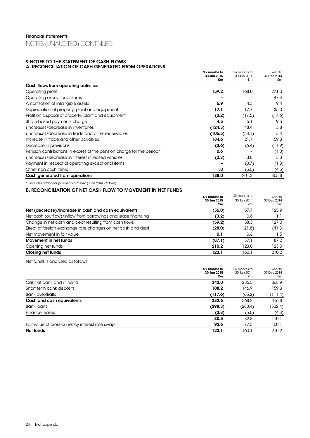### 9 NOTES TO THE STATEMENT OF CASH FLOWS A. RECONCILIATION OF CASH GENERATED FROM OPERATIONS

|                                                                       | Six months to<br>30 Jun 2015 | Six months to<br>30 Jun 2014 | Year to<br>31 Dec 2014 |
|-----------------------------------------------------------------------|------------------------------|------------------------------|------------------------|
|                                                                       | £m                           | £m                           | £m                     |
| Cash flows from operating activities                                  |                              |                              |                        |
| Operating profit                                                      | 159.2                        | 168.0                        | 271.0                  |
| Operating exceptional items                                           |                              |                              | 47.4                   |
| Amortisation of intangible assets                                     | 6.9                          | 4.3                          | 9.4                    |
| Depreciation of property, plant and equipment                         | 17.1                         | 17.7                         | 35.0                   |
| Profit on disposal of property, plant and equipment                   | (0.2)                        | (17.5)                       | (17.6)                 |
| Share-based payments charge                                           | 4.5                          | 5.1                          | 9.5                    |
| (Increase)/decrease in inventories                                    | (124.3)                      | 48.4                         | 3.8                    |
| (Increase)/decrease in trade and other receivables                    | (105.5)                      | (38.1)                       | 3.4                    |
| Increase in trade and other payables                                  | 184.6                        | 21.7                         | 59.3                   |
| Decrease in provisions                                                | (3.6)                        | (6.4)                        | (11.9)                 |
| Pension contributions in excess of the pension charge for the period* | 0.6                          |                              | (1.0)                  |
| (Increase)/decrease in interest in leased vehicles                    | (2.3)                        | 3.8                          | 3.3                    |
| Payment in respect of operating exceptional items                     |                              | (0.7)                        | (1.3)                  |
| Other non cash items                                                  | 1.0                          | (5.0)                        | (4.5)                  |
| Cash generated from operations                                        | 138.0                        | 201.3                        | 405.8                  |

\* Includes additional payments of £0.9m (June 2014 – £0.9m).

### B. RECONCILIATION OF NET CASH FLOW TO MOVEMENT IN NET FUNDS

|                                                               | Six months to<br>30 Jun 2015<br>£m | Six months to<br>30 Jun 2014<br>£m | Year to<br>31 Dec 2014<br>£m |
|---------------------------------------------------------------|------------------------------------|------------------------------------|------------------------------|
| Net (decrease)/increase in cash and cash equivalents          | (56.0)                             | 57.7                               | 125.9                        |
| Net cash (outflow)/inflow from borrowings and lease financing | (3.2)                              | 0.6                                | 1.1                          |
| Change in net cash and debt resulting from cash flows         | (59.2)                             | 58.3                               | 127.0                        |
| Effect of foreign exchange rate changes on net cash and debt  | (28.0)                             | (21.8)                             | (41.3)                       |
| Net movement in fair value                                    | 0.1                                | 0.6                                | 1.5                          |
| Movement in net funds                                         | (87.1)                             | 37.1                               | 87.2                         |
| Opening net funds                                             | 210.2                              | 123.0                              | 123.0                        |
| Closing net funds                                             | 123.1                              | 160.1                              | 210.2                        |

Net funds is analysed as follows:

| Net funds                                       | 123.1                              | 160.1                              | 210.2                        |
|-------------------------------------------------|------------------------------------|------------------------------------|------------------------------|
| Fair value of cross-currency interest rate swap | 92.6                               | 77.3                               | 100.1                        |
|                                                 | 30.5                               | 82.8                               | 110.1                        |
| Finance leases                                  | (3.8)                              | (5.0)                              | (4.3)                        |
| <b>Bank loans</b>                               | (298.3)                            | (280.4)                            | (302.4)                      |
| Cash and cash equivalents                       | 332.6                              | 368.2                              | 416.8                        |
| <b>Bank overdrafts</b>                          | (117.6)                            | (65.2)                             | (111.4)                      |
| Short term bank deposits                        | 108.2                              | 146.9                              | 159.3                        |
| Cash at bank and in hand                        | 342.0                              | 286.5                              | 368.9                        |
|                                                 | Six months to<br>30 Jun 2015<br>£m | Six months to<br>30 Jun 2014<br>£m | Year to<br>31 Dec 2014<br>£m |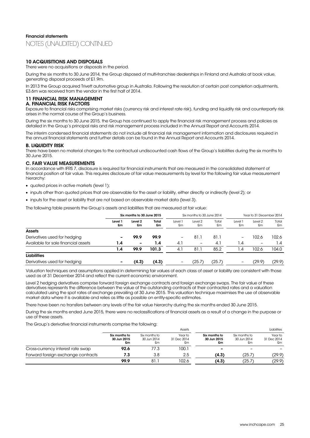### 10 ACQUISITIONS AND DISPOSALS

There were no acquisitions or disposals in the period.

During the six months to 30 June 2014, the Group disposed of multi-franchise dealerships in Finland and Australia at book value, generating disposal proceeds of £1.9m.

In 2013 the Group acquired Trivett automotive group in Australia. Following the resolution of certain post completion adjustments, £3.6m was received from the vendor in the first half of 2014.

#### 11 FINANCIAL RISK MANAGEMENT A. FINANCIAL RISK FACTORS

Exposure to financial risks comprising market risks (currency risk and interest rate risk), funding and liquidity risk and counterparty risk arises in the normal course of the Group's business.

During the six months to 30 June 2015, the Group has continued to apply the financial risk management process and policies as detailed in the Group's principal risks and risk management process included in the Annual Report and Accounts 2014.

The interim condensed financial statements do not include all financial risk management information and disclosures required in the annual financial statements and further details can be found in the Annual Report and Accounts 2014.

### **B. LIQUIDITY RISK**

There have been no material changes to the contractual undiscounted cash flows of the Group's liabilities during the six months to 30 June 2015.

### C. FAIR VALUE MEASUREMENTS

In accordance with IFRS 7, disclosure is required for financial instruments that are measured in the consolidated statement of financial position at fair value. This requires disclosure of fair value measurements by level for the following fair value measurement hierarchy:

- quoted prices in active markets (level 1);
- inputs other than quoted prices that are observable for the asset or liability, either directly or indirectly (level 2); or
- inputs for the asset or liability that are not based on observable market data (level 3).

The following table presents the Group's assets and liabilities that are measured at fair value:

|                                     | Six months to 30 June 2015 |                          |             | Six months to 30 June 2014 |                   | Year to 31 December 2014 |               |               |             |
|-------------------------------------|----------------------------|--------------------------|-------------|----------------------------|-------------------|--------------------------|---------------|---------------|-------------|
|                                     | Level 1<br>£m              | Level 2<br>£m            | Total<br>£m | Level <sup>-</sup><br>£m   | Level 2<br>£m     | Total<br>£m              | Level 1<br>£m | Level 2<br>£m | Total<br>£m |
| <b>Assets</b>                       |                            |                          |             |                            |                   |                          |               |               |             |
| Derivatives used for hedging        |                            | 99.9                     | 99.9        | -                          | 81.1              | 81.1                     | -             | 102.6         | 102.6       |
| Available for sale financial assets | 1.4                        | $\overline{\phantom{0}}$ | 1.4         | 4.1                        | $\qquad \qquad -$ | 4.1                      | 1.4           | -             | 1.4         |
|                                     | 1.4                        | 99.9                     | 101.3       | 4.1                        | 81.1              | 85.2                     | 1.4           | 102.6         | 104.0       |
| <b>Liabilities</b>                  |                            |                          |             |                            |                   |                          |               |               |             |
| Derivatives used for hedging        | $\overline{\phantom{0}}$   | (4.3)                    | (4.3)       |                            | 25.7`             | (25.7)                   |               | (29.9)        | (29.9)      |

Valuation techniques and assumptions applied in determining fair values of each class of asset or liability are consistent with those used as at 31 December 2014 and reflect the current economic environment.

Level 2 hedging derivatives comprise forward foreign exchange contracts and foreign exchange swaps. The fair value of these derivatives represents the difference between the value of the outstanding contracts at their contracted rates and a valuation calculated using the spot rates of exchange prevailing at 30 June 2015. This valuation technique maximises the use of observable market data where it is available and relies as little as possible on entity-specific estimates.

There have been no transfers between any levels of the fair value hierarchy during the six months ended 30 June 2015.

During the six months ended June 2015, there were no reclassifications of financial assets as a result of a change in the purpose or use of these assets.

The Group's derivative financial instruments comprise the following:

|                                    | Assets                             |                                    |                              |                                    |                                    | Liabilities                  |
|------------------------------------|------------------------------------|------------------------------------|------------------------------|------------------------------------|------------------------------------|------------------------------|
|                                    | Six months to<br>30 Jun 2015<br>£m | Six months to<br>30 Jun 2014<br>£m | Year to<br>31 Dec 2014<br>£m | Six months to<br>30 Jun 2015<br>£m | Six months to<br>30 Jun 2014<br>£m | Year to<br>31 Dec 2014<br>£m |
| Cross-currency interest rate swap  | 92.6                               | 77.3                               | 100.1                        |                                    | $\overline{\phantom{0}}$           |                              |
| Forward foreign exchange contracts | 7.3                                | 3.8                                | 2.5                          | (4.3)                              | (25.7)                             | (29.9)                       |
|                                    | 99.9                               | 81.1                               | 102.6                        | (4.3)                              | (25.7)                             | (29.9)                       |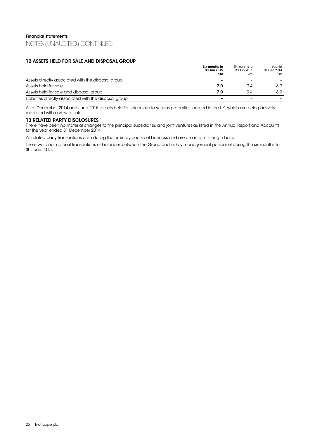### 12 ASSETS HELD FOR SALE AND DISPOSAL GROUP

|                                                         | Six months to<br>30 Jun 2015<br>£m | Six months to<br>30 Jun 2014<br>£m | Year to<br>31 Dec 2014<br>£m |
|---------------------------------------------------------|------------------------------------|------------------------------------|------------------------------|
| Assets directly associated with the disposal group      |                                    |                                    |                              |
| Assets held for sale                                    | 7.0                                | 9.4                                | 8.9                          |
| Assets held for sale and disposal group                 | 7.0                                | 9.4                                | 8.9                          |
| Liabilities directly associated with the disposal group |                                    |                                    |                              |

As at December 2014 and June 2015, assets held for sale relate to surplus properties located in the UK, which are being actively marketed with a view to sale.

### 13 RELATED PARTY DISCLOSURES

There have been no material changes to the principal subsidiaries and joint ventures as listed in the Annual Report and Accounts for the year ended 31 December 2014.

All related party transactions arise during the ordinary course of business and are on an arm's length basis.

There were no material transactions or balances between the Group and its key management personnel during the six months to 30 June 2015.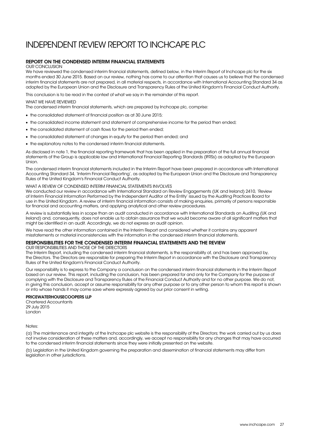## INDEPENDENT REVIEW REPORT TO INCHCAPE PLC

### REPORT ON THE CONDENSED INTERIM FINANCIAL STATEMENTS

#### OUR CONCLUSION

We have reviewed the condensed interim financial statements, defined below, in the Interim Report of Inchcape plc for the six months ended 30 June 2015. Based on our review, nothing has come to our attention that causes us to believe that the condensed interim financial statements are not prepared, in all material respects, in accordance with International Accounting Standard 34 as adopted by the European Union and the Disclosure and Transparency Rules of the United Kingdom's Financial Conduct Authority.

This conclusion is to be read in the context of what we say in the remainder of this report.

### WHAT WE HAVE REVIEWED

The condensed interim financial statements, which are prepared by Inchcape plc, comprise:

- the consolidated statement of financial position as at 30 June 2015;
- the consolidated income statement and statement of comprehensive income for the period then ended;
- the consolidated statement of cash flows for the period then ended;
- the consolidated statement of changes in equity for the period then ended; and
- the explanatory notes to the condensed interim financial statements.

As disclosed in note 1, the financial reporting framework that has been applied in the preparation of the full annual financial statements of the Group is applicable law and International Financial Reporting Standards (IFRSs) as adopted by the European Union.

The condensed interim financial statements included in the Interim Report have been prepared in accordance with International Accounting Standard 34, 'Interim Financial Reporting', as adopted by the European Union and the Disclosure and Transparency Rules of the United Kingdom's Financial Conduct Authority.

### WHAT A REVIEW OF CONDENSED INTERIM FINANCIAL STATEMENTS INVOLVES

We conducted our review in accordance with International Standard on Review Engagements (UK and Ireland) 2410, 'Review of Interim Financial Information Performed by the Independent Auditor of the Entity' issued by the Auditing Practices Board for use in the United Kingdom. A review of interim financial information consists of making enquiries, primarily of persons responsible for financial and accounting matters, and applying analytical and other review procedures.

A review is substantially less in scope than an audit conducted in accordance with International Standards on Auditing (UK and Ireland) and, consequently, does not enable us to obtain assurance that we would become aware of all significant matters that might be identified in an audit. Accordingly, we do not express an audit opinion.

We have read the other information contained in the Interim Report and considered whether it contains any apparent misstatements or material inconsistencies with the information in the condensed interim financial statements.

### RESPONSIBILITIES FOR THE CONDENSED INTERIM FINANCIAL STATEMENTS AND THE REVIEW

OUR RESPONSIBILITIES AND THOSE OF THE DIRECTORS

The Interim Report, including the condensed interim financial statements, is the responsibility of, and has been approved by, the Directors. The Directors are responsible for preparing the Interim Report in accordance with the Disclosure and Transparency Rules of the United Kingdom's Financial Conduct Authority.

Our responsibility is to express to the Company a conclusion on the condensed interim financial statements in the Interim Report based on our review. This report, including the conclusion, has been prepared for and only for the Company for the purpose of complying with the Disclosure and Transparency Rules of the Financial Conduct Authority and for no other purpose. We do not, in giving this conclusion, accept or assume responsibility for any other purpose or to any other person to whom this report is shown or into whose hands it may come save where expressly agreed by our prior consent in writing.

### PRICEWATERHOUSECOOPERS LLP

Chartered Accountants 29 July 2015 London

Notes:

(a) The maintenance and integrity of the Inchcape plc website is the responsibility of the Directors; the work carried out by us does not involve consideration of these matters and, accordingly, we accept no responsibility for any changes that may have occurred to the condensed interim financial statements since they were initially presented on the website.

(b) Legislation in the United Kingdom governing the preparation and dissemination of financial statements may differ from legislation in other jurisdictions.